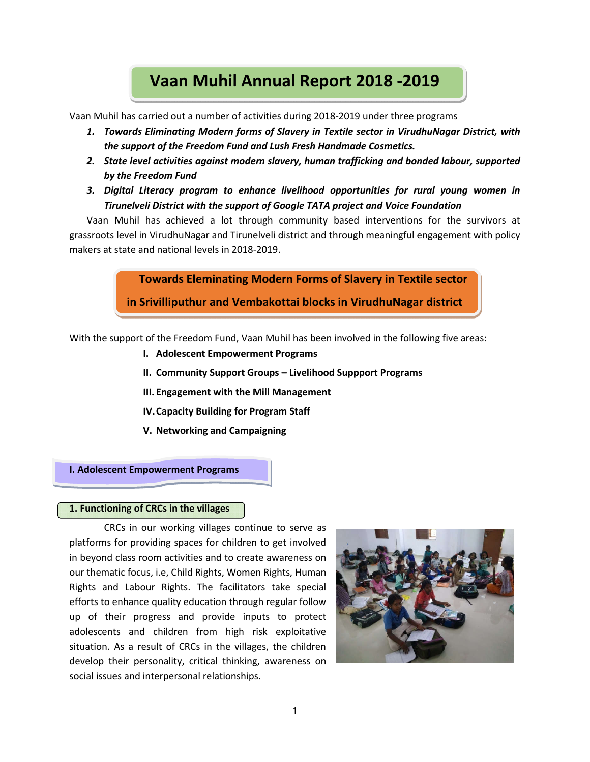# **Vaan Muhil Annual Report 2018 -2019**

Vaan Muhil has carried out a number of activities during 2018-2019 under three programs

- *1. Towards Eliminating Modern forms of Slavery in Textile sector in VirudhuNagar District, with the support of the Freedom Fund and Lush Fresh Handmade Cosmetics.*
- *2. State level activities against modern slavery, human trafficking and bonded labour, supported by the Freedom Fund*
- *3. Digital Literacy program to enhance livelihood opportunities for rural young women in Tirunelveli District with the support of Google TATA project and Voice Foundation*

Vaan Muhil has achieved a lot through community based interventions for the survivors at grassroots level in VirudhuNagar and Tirunelveli district and through meaningful engagement with policy makers at state and national levels in 2018-2019.

**Towards Eleminating Modern Forms of Slavery in Textile sector**

**in Srivilliputhur and Vembakottai blocks in VirudhuNagar district**

With the support of the Freedom Fund, Vaan Muhil has been involved in the following five areas:

- **I. Adolescent Empowerment Programs**
- **II. Community Support Groups – Livelihood Suppport Programs**
- **III. Engagement with the Mill Management**
- **IV.Capacity Building for Program Staff**
- **V. Networking and Campaigning**

#### **I. Adolescent Empowerment Programs**

#### **1. Functioning of CRCs in the villages**

CRCs in our working villages continue to serve as platforms for providing spaces for children to get involved in beyond class room activities and to create awareness on our thematic focus, i.e, Child Rights, Women Rights, Human Rights and Labour Rights. The facilitators take special efforts to enhance quality education through regular follow up of their progress and provide inputs to protect adolescents and children from high risk exploitative situation. As a result of CRCs in the villages, the children develop their personality, critical thinking, awareness on social issues and interpersonal relationships.

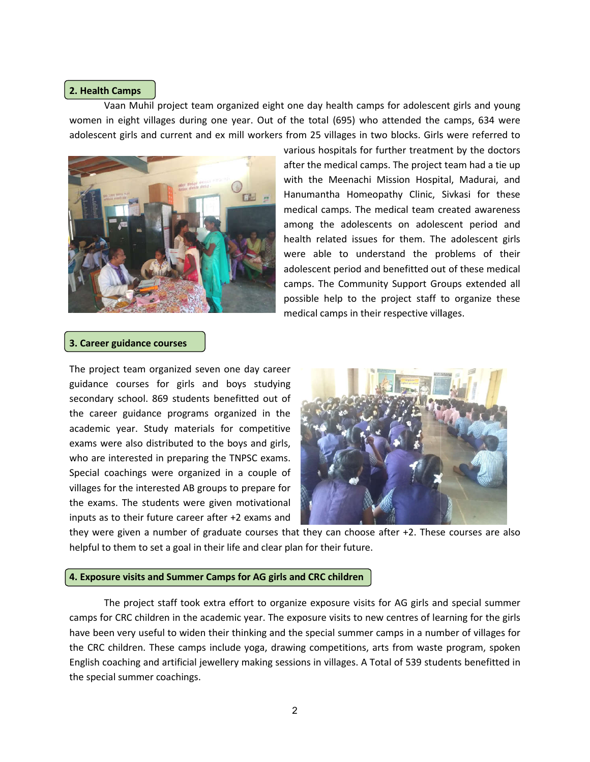#### **2. Health Camps**

Vaan Muhil project team organized eight one day health camps for adolescent girls and young women in eight villages during one year. Out of the total (695) who attended the camps, 634 were adolescent girls and current and ex mill workers from 25 villages in two blocks. Girls were referred to project team organized eight one day health camps for adolescent girls and young<br>ges during one year. Out of the total (695) who attended the camps, 634 were<br>current and ex mill workers from 25 villages in two blocks. Girl



various hospitals for further treatment by the doctors various hospitals for further treatment by the doctors<br>after the medical camps. The project team had a tie up with the Meenachi Mission Hospital, Madurai, and Hanumantha Homeopathy Clinic, Sivkasi for these medical camps. The medical team created awareness among the adolescents on adolescent period and health related issues for them. The adolescent girls were able to understand the problems of their adolescent period and benefitted out of these medical camps. The Community Support Groups extended all possible help to the project staff to organize these medical camps in their respective villages.

#### **3. Career guidance courses**

The project team organized seven one day career guidance courses for girls and boys studying secondary school. 869 students benefitted out of the career guidance programs organized in the academic year. Study materials for competitive exams were also distributed to the boys and girls, who are interested in preparing the TNPSC exams. Special coachings were organized in a couple of villages for the interested AB groups to prepare for the exams. The students were given motivational inputs as to their future career after +2 exams and



they were given a number of graduate courses that they can choose after +2. These courses are also helpful to them to set a goal in their life and clear plan for their future.

#### **4. Exposure visits and Summer Camps f for AG girls and CRC children**

The project staff took extra effort to organize exposure visits for AG girls and special summer camps for CRC children in the academic year. The exposure visits to new centres of learning for the girls have been very useful to widen their thinking and the special summer camps in a number of villages for the CRC children. These camps include yoga, drawing competitions, arts from waste program, spoken English coaching and artificial jewellery making sessions in villages. A Total of 539 students benefitted in the special summer coachings.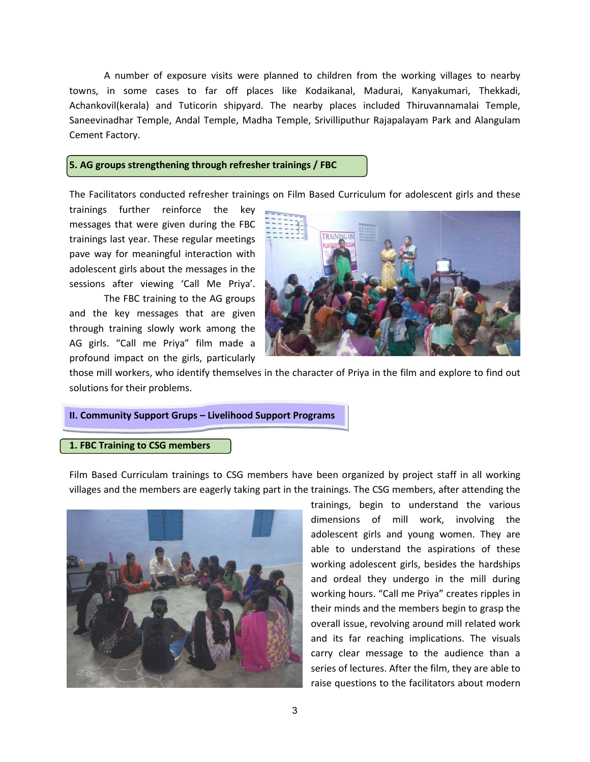A number of exposure visits were planned to children from the working villages to nearby towns, in some cases to far off places like Kodaikanal, Madurai, Kanyakumari, Thekkadi, Achankovil(kerala) and Tuticorin shipyard. The nearby places included Thiruvannamalai Temple, Saneevinadhar Temple, Andal Temple, Madha Temple, Srivilliputhur Rajapalayam Park and Alangulam Cement Factory. its were planned to children from the working villages to nearby<br>off places like Kodaikanal, Madurai, Kanyakumari, Thekkadi,<br>shipyard. The nearby places included Thiruvannamalai Temple,<br>ple, Madha Temple, Srivilliputhur Ra

#### **5. AG groups strengthening through refresher trainings / FBC**

The Facilitators conducted refresher trainings on Film Based Curriculum for adolescent girls

trainings further reinforce the key messages that were given during the FBC trainings last year. These regular meetings pave way for meaningful interaction with adolescent girls about the messages in the sessions after viewing 'Call Me Priya'.

The FBC training to the AG groups and the key messages that are given through training slowly work among the AG girls. "Call me Priya" film made a profound impact on the girls, particularly



those mill workers, who identify themselves in the character of Priya in the film and explore to find out solutions for their problems.

#### **II. Community Support Grups – Livelihood Support Programs**

#### **1. FBC Training to CSG members**

Film Based Curriculam trainings to CSG members have been organized by project staff in all working villages and the members are eagerly taking part in the trainings. The CSG members, after attending the



trainings, begin to understand the various dimensions of mill work, involving the adolescent girls and young women. They are able to understand the aspirations of these working adolescent girls, besides the hardships and ordeal they undergo in the mill during working hours. "Call me Priya" creates ripples in their minds and the members begin to grasp the their minds and the members begin to grasp the<br>overall issue, revolving around mill related work and its far reaching implications. The visuals carry clear message to the audience than a series of lectures. After the film, they are able to raise questions to the facilitators about modern y clear message to the audience than a<br>es of lectures. After the film, they are able to<br>e questions to the facilitators about modern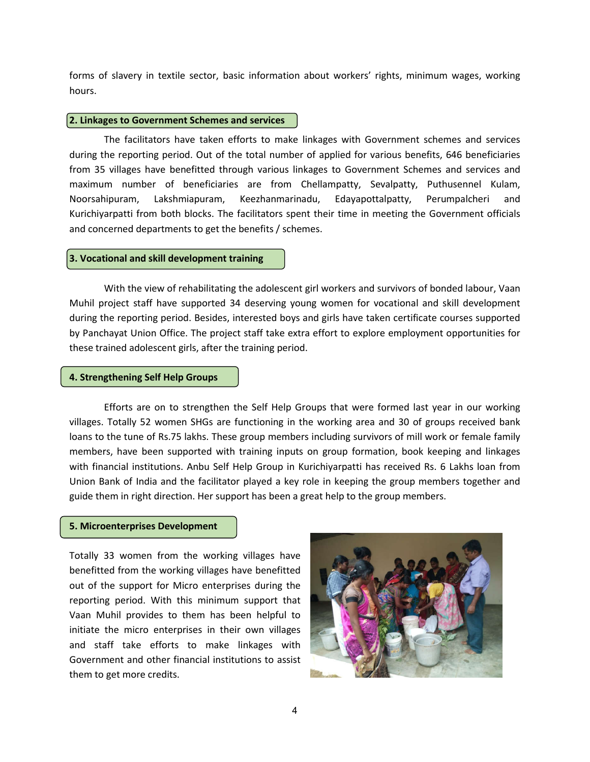forms of slavery in textile sector, basic information about workers' rights, minimum wages, working hours.

#### **2. Linkages to Government Schemes and services**

The facilitators have taken efforts to make linkages with Government schemes and services during the reporting period. Out of the total number of applied for various benefits, 646 beneficiaries from 35 villages have benefitted through various linkages to Government Schemes and services and maximum number of beneficiaries are from Chellampatty, Sevalpatty, Puthusennel Kulam, Noorsahipuram, Lakshmiapuram, Keezhanmarinadu, Edayapottalpatty, Perumpalcheri and Kurichiyarpatti from both blocks. The facilitators spent their time in meeting the Government officials and concerned departments to get the benefits / schemes.

#### **3. Vocational and skill development training**

With the view of rehabilitating the adolescent girl workers and survivors of bonded labour, Vaan Muhil project staff have supported 34 deserving young women for vocational and skill development during the reporting period. Besides, interested boys and girls have taken certificate courses supported by Panchayat Union Office. The project staff take extra effort to explore employment opportunities for these trained adolescent girls, after the training period.

#### **4. Strengthening Self Help Groups**

Efforts are on to strengthen the Self Help Groups that were formed last year in our working villages. Totally 52 women SHGs are functioning in the working area and 30 of groups received bank loans to the tune of Rs.75 lakhs. These group members including survivors of mill work or female family members, have been supported with training inputs on group formation, book keeping and linkages with financial institutions. Anbu Self Help Group in Kurichiyarpatti has received Rs. 6 Lakhs loan from Union Bank of India and the facilitator played a key role in keeping the group members together and guide them in right direction. Her support has been a great help to the group members.

#### **5. Microenterprises Development**

Totally 33 women from the working villages have benefitted from the working villages have benefitted out of the support for Micro enterprises during the reporting period. With this minimum support that Vaan Muhil provides to them has been helpful to initiate the micro enterprises in their own villages and staff take efforts to make linkages with Government and other financial institutions to assist them to get more credits.

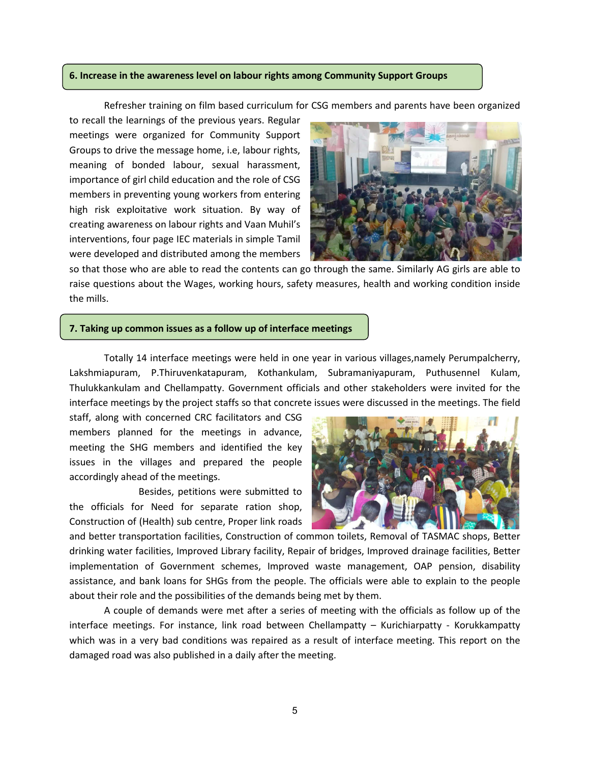#### **6. Increase in the awareness level on labour rights among Community Support Groups**

Refresher training on film based curriculum for CSG members and parents have been organized

to recall the learnings of the previous years. Regular meetings were organized for Community Support Groups to drive the message home, i.e, labour rights, meaning of bonded labour, sexual harassment, importance of girl child education and the role of CSG members in preventing young workers from entering high risk exploitative work situation. By way of creating awareness on labour rights and Vaan Muhil's interventions, four page IEC materials in simple Tamil were developed and distributed among the members



so that those who are able to read the contents can go through the same. Similarly AG girls are able to raise questions about the Wages, working hours, safety measures, health and working condition inside the mills.

### **7. Taking up common issues as a follow up of interface meetings**

Totally 14 interface meetings were held in one year in various villages,namely Perumpalcherry, Lakshmiapuram, P.Thiruvenkatapuram, Kothankulam, Subramaniyapuram, Puthusennel Kulam, Thulukkankulam and Chellampatty. Government officials and other stakeholders were invited for the interface meetings by the project staffs so that concrete issues were discussed in the meetings. The field

staff, along with concerned CRC facilitators and CSG members planned for the meetings in advance, meeting the SHG members and identified the key issues in the villages and prepared the people accordingly ahead of the meetings.

Besides, petitions were submitted to the officials for Need for separate ration shop, Construction of (Health) sub centre, Proper link roads



and better transportation facilities, Construction of common toilets, Removal of TASMAC shops, Better drinking water facilities, Improved Library facility, Repair of bridges, Improved drainage facilities, Better implementation of Government schemes, Improved waste management, OAP pension, disability assistance, and bank loans for SHGs from the people. The officials were able to explain to the people about their role and the possibilities of the demands being met by them.

A couple of demands were met after a series of meeting with the officials as follow up of the interface meetings. For instance, link road between Chellampatty – Kurichiarpatty - Korukkampatty which was in a very bad conditions was repaired as a result of interface meeting. This report on the damaged road was also published in a daily after the meeting.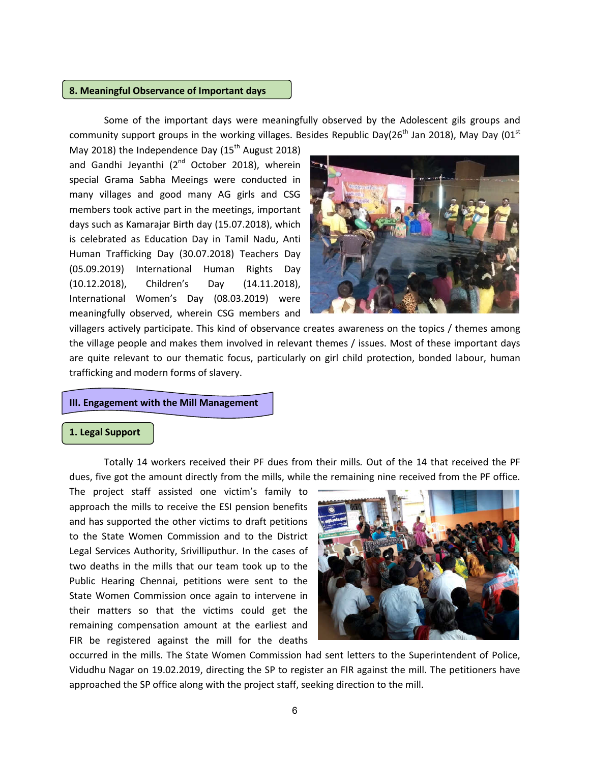#### **8. Meaningful Observance of Important days**

Some of the important days were meaningfully observed by the Adolescent gils groups and community support groups in the working villages. Besides Republic Day( $26<sup>th</sup>$  Jan 2018), May Day (01<sup>st</sup>

May 2018) the Independence Day  $(15<sup>th</sup>$  August 2018) and Gandhi Jeyanthi (2<sup>nd</sup> October 2018), wherein special Grama Sabha Meeings were conducted in many villages and good many AG girls and CSG members took active part in the meetings, important days such as Kamarajar Birth day (15.07.2018), which is celebrated as Education Day in Tamil Nadu, Anti Human Trafficking Day (30.07.2018) Teachers Day (05.09.2019) International Human Rights Day (10.12.2018), Children's Day (14.11.2018), International Women's Day (08.03.2019) were meaningfully observed, wherein CSG members and



villagers actively participate. This kind of observance creates awareness on the topics / themes among the village people and makes them involved in relevant themes / issues. Most of these important days are quite relevant to our thematic focus, particularly on girl child protection, bonded labour, human trafficking and modern forms of slavery.

#### **III. Engagement with the Mill Management**

#### **1. Legal Support**

Totally 14 workers received their PF dues from their mills*.* Out of the 14 that received the PF dues, five got the amount directly from the mills, while the remaining nine received from the PF office.

The project staff assisted one victim's family to approach the mills to receive the ESI pension benefits and has supported the other victims to draft petitions to the State Women Commission and to the District Legal Services Authority, Srivilliputhur. In the cases of two deaths in the mills that our team took up to the Public Hearing Chennai, petitions were sent to the State Women Commission once again to intervene in their matters so that the victims could get the remaining compensation amount at the earliest and FIR be registered against the mill for the deaths



occurred in the mills. The State Women Commission had sent letters to the Superintendent of Police, Vidudhu Nagar on 19.02.2019, directing the SP to register an FIR against the mill. The petitioners have approached the SP office along with the project staff, seeking direction to the mill.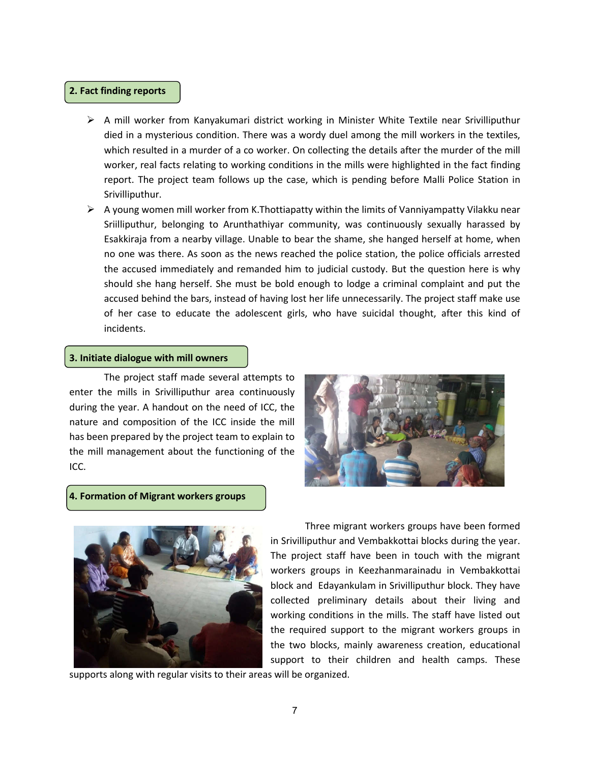### **2. Fact finding reports**

- $\triangleright$  A mill worker from Kanyakumari district working in Minister White Textile near Srivilliputhur died in a mysterious condition. There was a wordy duel among the mill workers in the textiles, which resulted in a murder of a co worker. On collecting the details after the murder of the mill worker, real facts relating to working conditions in the mills were highlighted in the fact finding report. The project team follows up the case, which is pending before Malli Police Station in Srivilliputhur.
- $\triangleright$  A young women mill worker from K.Thottiapatty within the limits of Vanniyampatty Vilakku near Sriilliputhur, belonging to Arunthathiyar community, was continuously sexually harassed by Esakkiraja from a nearby village. Unable to bear the shame, she hanged herself at home, when no one was there. As soon as the news reached the police station, the police officials arrested the accused immediately and remanded him to judicial custody. But the question here is why should she hang herself. She must be bold enough to lodge a criminal complaint and put the accused behind the bars, instead of having lost her life unnecessarily. The project staff make use of her case to educate the adolescent girls, who have suicidal thought, after this kind of incidents.

#### **3. Initiate dialogue with mill owners**

The project staff made several attempts to enter the mills in Srivilliputhur area continuously during the year. A handout on the need of ICC, the nature and composition of the ICC inside the mill has been prepared by the project team to explain to the mill management about the functioning of the ICC.



#### **4. Formation of Migrant workers groups**



Three migrant workers groups have been formed in Srivilliputhur and Vembakkottai blocks during the year. The project staff have been in touch with the migrant workers groups in Keezhanmarainadu in Vembakkottai block and Edayankulam in Srivilliputhur block. They have collected preliminary details about their living and working conditions in the mills. The staff have listed out the required support to the migrant workers groups in the two blocks, mainly awareness creation, educational support to their children and health camps. These

supports along with regular visits to their areas will be organized.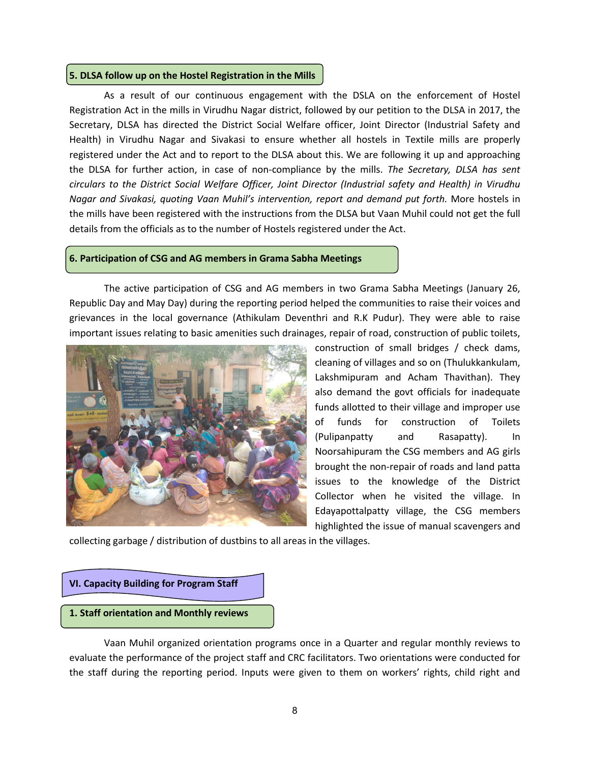#### **5. DLSA follow up on the Hostel Registration in the Mills**

As a result of our continuous engagement with the DSLA on the enforcement of Hostel Registration Act in the mills in Virudhu Nagar district, followed by our petition to the DLSA in 2017, the Secretary, DLSA has directed the District Social Welfare officer, Joint Director (Industrial Safety and Health) in Virudhu Nagar and Sivakasi to ensure whether all hostels in Textile mills are properly registered under the Act and to report to the DLSA about this. We are following it up and approaching the DLSA for further action, in case of non-compliance by the mills. *The Secretary, DLSA has sent circulars to the District Social Welfare Officer, Joint Director (Industrial safety and Health) in Virudhu Nagar and Sivakasi, quoting Vaan Muhil's intervention, report and demand put forth.* More hostels in the mills have been registered with the instructions from the DLSA but Vaan Muhil could not get the full details from the officials as to the number of Hostels registered under the Act.

#### **6. Participation of CSG and AG members in Grama Sabha Meetings**

The active participation of CSG and AG members in two Grama Sabha Meetings (January 26, Republic Day and May Day) during the reporting period helped the communities to raise their voices and grievances in the local governance (Athikulam Deventhri and R.K Pudur). They were able to raise important issues relating to basic amenities such drainages, repair of road, construction of public toilets,



construction of small bridges / check dams, cleaning of villages and so on (Thulukkankulam, Lakshmipuram and Acham Thavithan). They also demand the govt officials for inadequate funds allotted to their village and improper use of funds for construction of Toilets (Pulipanpatty and Rasapatty). In Noorsahipuram the CSG members and AG girls brought the non-repair of roads and land patta issues to the knowledge of the District Collector when he visited the village. In Edayapottalpatty village, the CSG members highlighted the issue of manual scavengers and

collecting garbage / distribution of dustbins to all areas in the villages.

# **VI. Capacity Building for Program Staff 1. Staff orientation and Monthly reviews**

Vaan Muhil organized orientation programs once in a Quarter and regular monthly reviews to evaluate the performance of the project staff and CRC facilitators. Two orientations were conducted for the staff during the reporting period. Inputs were given to them on workers' rights, child right and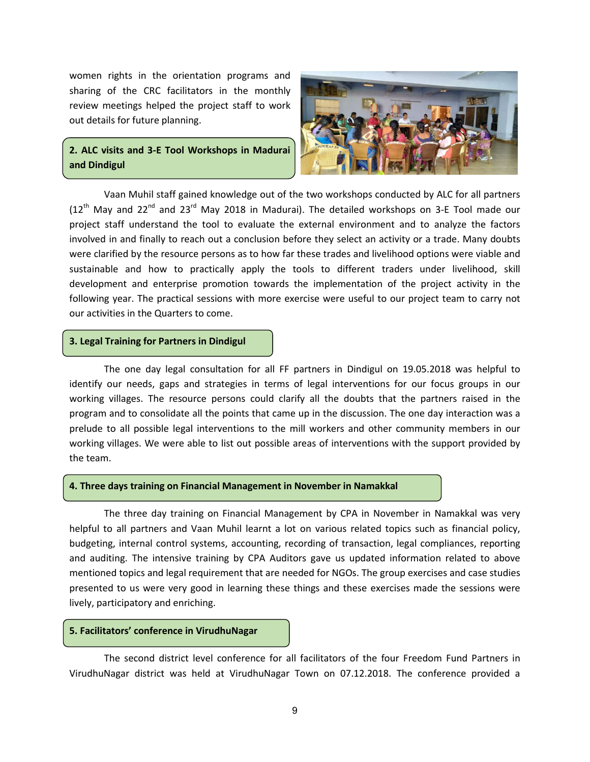women rights in the orientation programs and sharing of the CRC facilitators in the monthly review meetings helped the project staff to work out details for future planning.

# **2. ALC visits and 3-E Tool Workshops in Madurai and Dindigul**



Vaan Muhil staff gained knowledge out of the two workshops conducted by ALC for all partners  $(12<sup>th</sup>$  May and 22<sup>nd</sup> and 23<sup>rd</sup> May 2018 in Madurai). The detailed workshops on 3-E Tool made our project staff understand the tool to evaluate the external environment and to analyze the factors involved in and finally to reach out a conclusion before they select an activity or a trade. Many doubts were clarified by the resource persons as to how far these trades and livelihood options were viable and sustainable and how to practically apply the tools to different traders under livelihood, skill development and enterprise promotion towards the implementation of the project activity in the following year. The practical sessions with more exercise were useful to our project team to carry not our activities in the Quarters to come.

#### **3. Legal Training for Partners in Dindigul**

The one day legal consultation for all FF partners in Dindigul on 19.05.2018 was helpful to identify our needs, gaps and strategies in terms of legal interventions for our focus groups in our working villages. The resource persons could clarify all the doubts that the partners raised in the program and to consolidate all the points that came up in the discussion. The one day interaction was a prelude to all possible legal interventions to the mill workers and other community members in our working villages. We were able to list out possible areas of interventions with the support provided by the team.

#### **4. Three days training on Financial Management in November in Namakkal**

The three day training on Financial Management by CPA in November in Namakkal was very helpful to all partners and Vaan Muhil learnt a lot on various related topics such as financial policy, budgeting, internal control systems, accounting, recording of transaction, legal compliances, reporting and auditing. The intensive training by CPA Auditors gave us updated information related to above mentioned topics and legal requirement that are needed for NGOs. The group exercises and case studies presented to us were very good in learning these things and these exercises made the sessions were lively, participatory and enriching.

#### **5. Facilitators' conference in VirudhuNagar**

The second district level conference for all facilitators of the four Freedom Fund Partners in VirudhuNagar district was held at VirudhuNagar Town on 07.12.2018. The conference provided a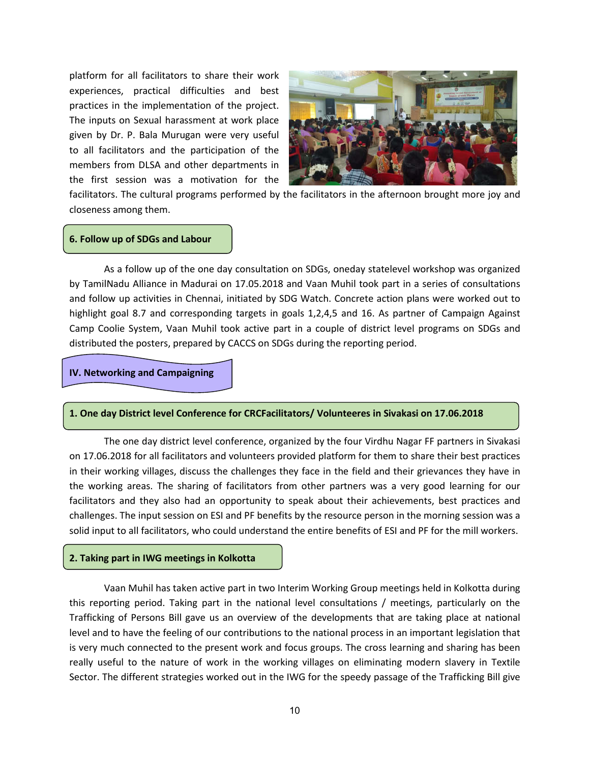platform for all facilitators to share their work experiences, practical difficulties and best practices in the implementation of the project. The inputs on Sexual harassment at work place given by Dr. P. Bala Murugan were very useful to all facilitators and the participation of the members from DLSA and other departments in the first session was a motivation for the



facilitators. The cultural programs performed by the facilitators in the afternoon brought more joy and closeness among them.

#### **6. Follow up of SDGs and Labour**

As a follow up of the one day consultation on SDGs, oneday statelevel workshop was organized by TamilNadu Alliance in Madurai on 17.05.2018 and Vaan Muhil took part in a series of consultations and follow up activities in Chennai, initiated by SDG Watch. Concrete action plans were worked out to highlight goal 8.7 and corresponding targets in goals 1,2,4,5 and 16. As partner of Campaign Against Camp Coolie System, Vaan Muhil took active part in a couple of district level programs on SDGs and distributed the posters, prepared by CACCS on SDGs during the reporting period.

#### **IV. Networking and Campaigning**

#### **1. One day District level Conference for CRCFacilitators/ Volunteeres in Sivakasi on 17.06.2018**

The one day district level conference, organized by the four Virdhu Nagar FF partners in Sivakasi on 17.06.2018 for all facilitators and volunteers provided platform for them to share their best practices in their working villages, discuss the challenges they face in the field and their grievances they have in the working areas. The sharing of facilitators from other partners was a very good learning for our facilitators and they also had an opportunity to speak about their achievements, best practices and challenges. The input session on ESI and PF benefits by the resource person in the morning session was a solid input to all facilitators, who could understand the entire benefits of ESI and PF for the mill workers.

#### **2. Taking part in IWG meetings in Kolkotta**

Vaan Muhil has taken active part in two Interim Working Group meetings held in Kolkotta during this reporting period. Taking part in the national level consultations / meetings, particularly on the Trafficking of Persons Bill gave us an overview of the developments that are taking place at national level and to have the feeling of our contributions to the national process in an important legislation that is very much connected to the present work and focus groups. The cross learning and sharing has been really useful to the nature of work in the working villages on eliminating modern slavery in Textile Sector. The different strategies worked out in the IWG for the speedy passage of the Trafficking Bill give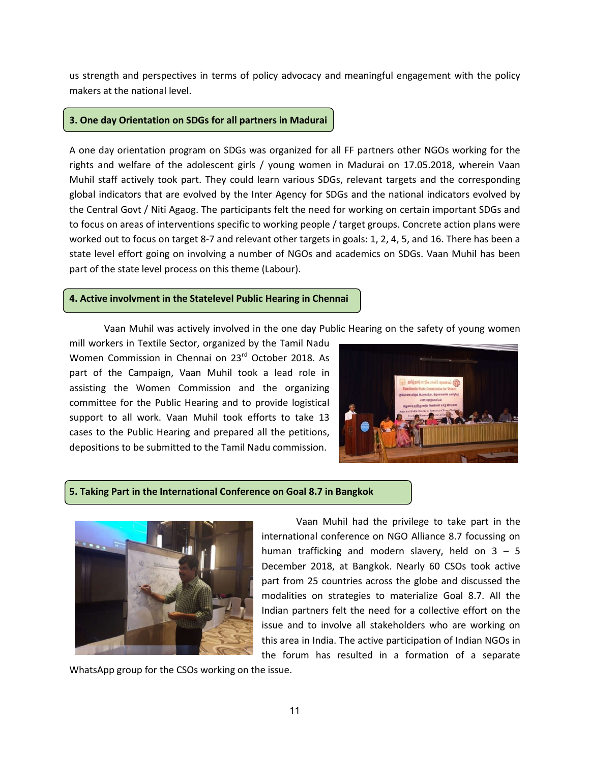us strength and perspectives in terms of policy advocacy and meaningful engagement with the policy makers at the national level.

#### **3. One day Orientation on SDGs for all partners in Madurai**

A one day orientation program on SDGs was organized for all FF partners other NGOs working for the rights and welfare of the adolescent girls / young women in Madurai on 17.05.2018, wherein Vaan Muhil staff actively took part. They could learn various SDGs, relevant targets and the corresponding global indicators that are evolved by the Inter Agency for SDGs and the national indicators evolved by the Central Govt / Niti Agaog. The participants felt the need for working on certain important SDGs and to focus on areas of interventions specific to working people / target groups. Concrete action plans were worked out to focus on target 8-7 and relevant other targets in goals: 1, 2, 4, 5, and 16. There has been a state level effort going on involving a number of NGOs and academics on SDGs. Vaan Muhil has been part of the state level process on this theme (Labour).

#### **4. Active involvment in the Statelevel Public Hearing in Chennai**

Vaan Muhil was actively involved in the one day Public Hearing on the safety of young women

mill workers in Textile Sector, organized by the Tamil Nadu Women Commission in Chennai on 23<sup>rd</sup> October 2018. As part of the Campaign, Vaan Muhil took a lead role in assisting the Women Commission and the organizing committee for the Public Hearing and to provide logistical support to all work. Vaan Muhil took efforts to take 13 cases to the Public Hearing and prepared all the petitions, depositions to be submitted to the Tamil Nadu commission.



### **5. Taking Part in the International Conference on Goal 8.7 in Bangkok**



Vaan Muhil had the privilege to take part in the international conference on NGO Alliance 8.7 focussing on human trafficking and modern slavery, held on  $3 - 5$ December 2018, at Bangkok. Nearly 60 CSOs took active part from 25 countries across the globe and discussed the modalities on strategies to materialize Goal 8.7. All the Indian partners felt the need for a collective effort on the issue and to involve all stakeholders who are working on this area in India. The active participation of Indian NGOs in the forum has resulted in a formation of a separate

WhatsApp group for the CSOs working on the issue.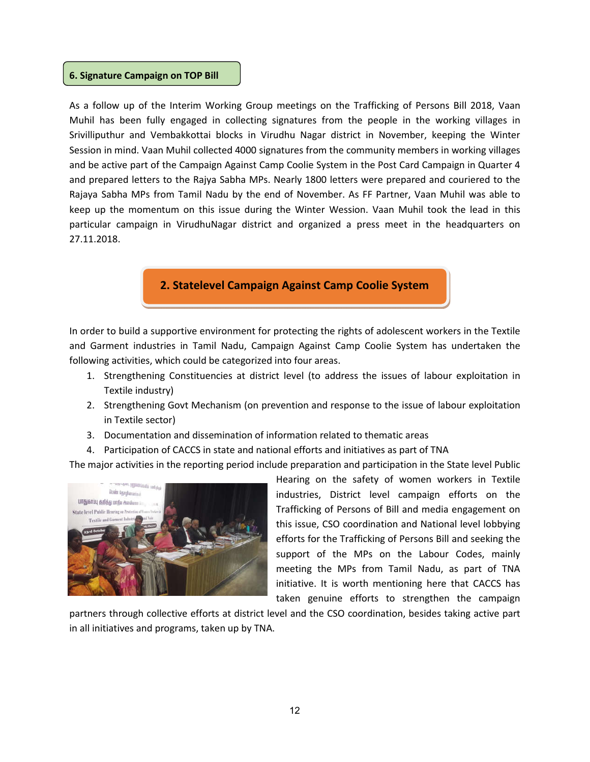#### **6. Signature Campaign on TOP Bill**

As a follow up of the Interim Working Group meetings on the Trafficking of Persons Bill 2018, Vaan Muhil has been fully engaged in collecting signatures from the people in the working villages in Srivilliputhur and Vembakkottai blocks in Virudhu Nagar district in November, keeping the Winter Session in mind. Vaan Muhil collected 4000 signatures from the community members in working villages and be active part of the Campaign Against Camp Coolie System in the Post Card Campaign in Quarter 4 and prepared letters to the Rajya Sabha MPs. Nearly 1800 letters were prepared and couriered to the Rajaya Sabha MPs from Tamil Nadu by the end of November. As FF Partner, Vaan Muhil was able to keep up the momentum on this issue during the Winter Wession. Vaan Muhil took the lead in this particular campaign in VirudhuNagar district and organized a press meet in the headquarters on 27.11.2018.

# **2. Statelevel Campaign Against Camp Coolie System**

In order to build a supportive environment for protecting the rights of adolescent workers in the Textile and Garment industries in Tamil Nadu, Campaign Against Camp Coolie System has undertaken the following activities, which could be categorized into four areas.

- 1. Strengthening Constituencies at district level (to address the issues of labour exploitation in Textile industry)
- 2. Strengthening Govt Mechanism (on prevention and response to the issue of labour exploitation in Textile sector)
- 3. Documentation and dissemination of information related to thematic areas
- 4. Participation of CACCS in state and national efforts and initiatives as part of TNA

The major activities in the reporting period include preparation and participation in the State level Public



Hearing on the safety of women workers in Textile industries, District level campaign efforts on the Trafficking of Persons of Bill and media engagement on this issue, CSO coordination and National level lobbying efforts for the Trafficking of Persons Bill and seeking the support of the MPs on the Labour Codes, mainly meeting the MPs from Tamil Nadu, as part of TNA initiative. It is worth mentioning here that CACCS has taken genuine efforts to strengthen the campaign

partners through collective efforts at district level and the CSO coordination, besides taking active part in all initiatives and programs, taken up by TNA.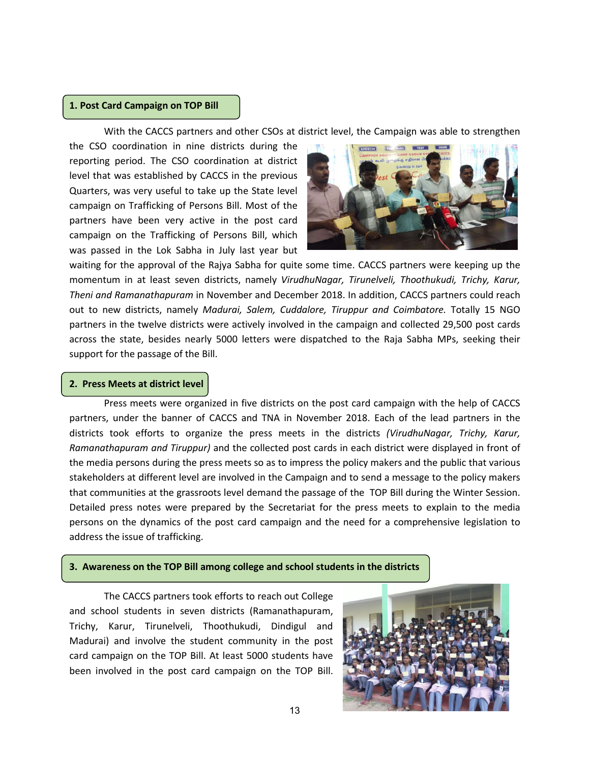#### **1. Post Card Campaign on TOP Bill**

With the CACCS partners and other CSOs at district level, the Campaign was able to strengthen

the CSO coordination in nine districts during the reporting period. The CSO coordination at district level that was established by CACCS in the previous Quarters, was very useful to take up the State level campaign on Trafficking of Persons Bill. Most of the partners have been very active in the post card campaign on the Trafficking of Persons Bill, which was passed in the Lok Sabha in July last year but



waiting for the approval of the Rajya Sabha for quite some time. CACCS partners were keeping up the momentum in at least seven districts, namely *VirudhuNagar, Tirunelveli, Thoothukudi, Trichy, Karur, Theni and Ramanathapuram* in November and December 2018. In addition, CACCS partners could reach out to new districts, namely *Madurai, Salem, Cuddalore, Tiruppur and Coimbatore.* Totally 15 NGO partners in the twelve districts were actively involved in the campaign and collected 29,500 post cards across the state, besides nearly 5000 letters were dispatched to the Raja Sabha MPs, seeking their support for the passage of the Bill.

#### **2. Press Meets at district level**

Press meets were organized in five districts on the post card campaign with the help of CACCS partners, under the banner of CACCS and TNA in November 2018. Each of the lead partners in the districts took efforts to organize the press meets in the districts *(VirudhuNagar, Trichy, Karur, Ramanathapuram and Tiruppur)* and the collected post cards in each district were displayed in front of the media persons during the press meets so as to impress the policy makers and the public that various stakeholders at different level are involved in the Campaign and to send a message to the policy makers that communities at the grassroots level demand the passage of the TOP Bill during the Winter Session. Detailed press notes were prepared by the Secretariat for the press meets to explain to the media persons on the dynamics of the post card campaign and the need for a comprehensive legislation to address the issue of trafficking.

#### **3. Awareness on the TOP Bill among college and school students in the districts**

The CACCS partners took efforts to reach out College and school students in seven districts (Ramanathapuram, Trichy, Karur, Tirunelveli, Thoothukudi, Dindigul and Madurai) and involve the student community in the post card campaign on the TOP Bill. At least 5000 students have been involved in the post card campaign on the TOP Bill.

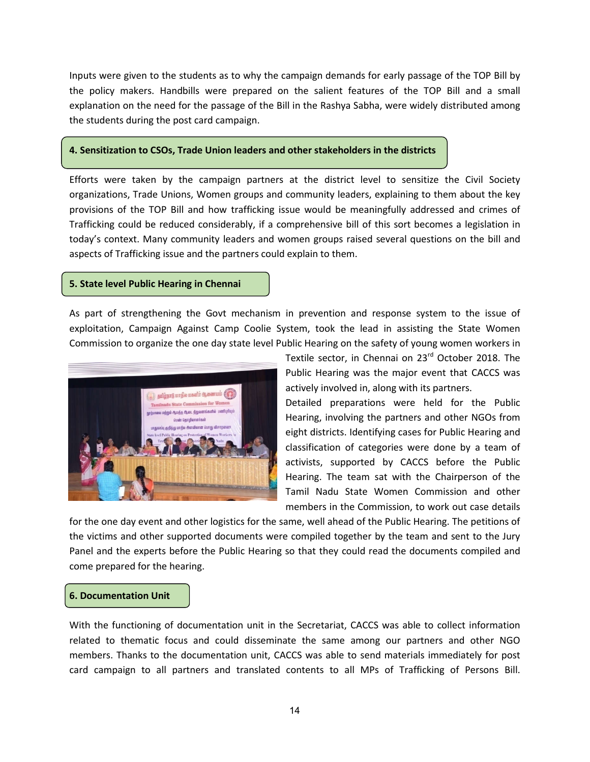Inputs were given to the students as to why the campaign demands for early passage of the TOP Bill by the policy makers. Handbills were prepared on the salient features of the TOP Bill and a small explanation on the need for the passage of the Bill in the Rashya Sabha, were widely distributed among the students during the post card campaign.

#### **4. Sensitization to CSOs, Trade Union leaders and other stakeholders in the districts**

Efforts were taken by the campaign partners at the district level to sensitize the Civil Society organizations, Trade Unions, Women groups and community leaders, explaining to them about the key provisions of the TOP Bill and how trafficking issue would be meaningfully addressed and crimes of Trafficking could be reduced considerably, if a comprehensive bill of this sort becomes a legislation in today's context. Many community leaders and women groups raised several questions on the bill and aspects of Trafficking issue and the partners could explain to them.

#### **5. State level Public Hearing in Chennai**

As part of strengthening the Govt mechanism in prevention and response system to the issue of exploitation, Campaign Against Camp Coolie System, took the lead in assisting the State Women Commission to organize the one day state level Public Hearing on the safety of young women workers in



Textile sector, in Chennai on 23<sup>rd</sup> October 2018. The Public Hearing was the major event that CACCS was actively involved in, along with its partners.

Detailed preparations were held for the Public Hearing, involving the partners and other NGOs from eight districts. Identifying cases for Public Hearing and classification of categories were done by a team of activists, supported by CACCS before the Public Hearing. The team sat with the Chairperson of the Tamil Nadu State Women Commission and other members in the Commission, to work out case details

for the one day event and other logistics for the same, well ahead of the Public Hearing. The petitions of the victims and other supported documents were compiled together by the team and sent to the Jury Panel and the experts before the Public Hearing so that they could read the documents compiled and come prepared for the hearing.

#### **6. Documentation Unit**

With the functioning of documentation unit in the Secretariat, CACCS was able to collect information related to thematic focus and could disseminate the same among our partners and other NGO members. Thanks to the documentation unit, CACCS was able to send materials immediately for post card campaign to all partners and translated contents to all MPs of Trafficking of Persons Bill.